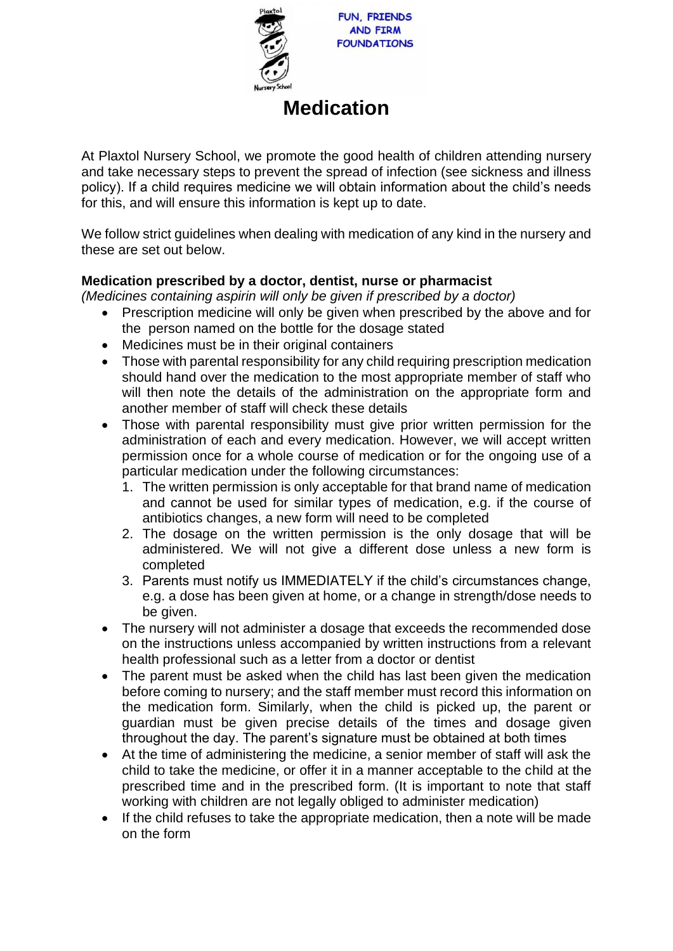

# **Medication**

At Plaxtol Nursery School, we promote the good health of children attending nursery and take necessary steps to prevent the spread of infection (see sickness and illness policy). If a child requires medicine we will obtain information about the child's needs for this, and will ensure this information is kept up to date.

We follow strict guidelines when dealing with medication of any kind in the nursery and these are set out below.

## **Medication prescribed by a doctor, dentist, nurse or pharmacist**

*(Medicines containing aspirin will only be given if prescribed by a doctor)*

- Prescription medicine will only be given when prescribed by the above and for the person named on the bottle for the dosage stated
- Medicines must be in their original containers
- Those with parental responsibility for any child requiring prescription medication should hand over the medication to the most appropriate member of staff who will then note the details of the administration on the appropriate form and another member of staff will check these details
- Those with parental responsibility must give prior written permission for the administration of each and every medication. However, we will accept written permission once for a whole course of medication or for the ongoing use of a particular medication under the following circumstances:
	- 1. The written permission is only acceptable for that brand name of medication and cannot be used for similar types of medication, e.g. if the course of antibiotics changes, a new form will need to be completed
	- 2. The dosage on the written permission is the only dosage that will be administered. We will not give a different dose unless a new form is completed
	- 3. Parents must notify us IMMEDIATELY if the child's circumstances change, e.g. a dose has been given at home, or a change in strength/dose needs to be given.
- The nursery will not administer a dosage that exceeds the recommended dose on the instructions unless accompanied by written instructions from a relevant health professional such as a letter from a doctor or dentist
- The parent must be asked when the child has last been given the medication before coming to nursery; and the staff member must record this information on the medication form. Similarly, when the child is picked up, the parent or guardian must be given precise details of the times and dosage given throughout the day. The parent's signature must be obtained at both times
- At the time of administering the medicine, a senior member of staff will ask the child to take the medicine, or offer it in a manner acceptable to the child at the prescribed time and in the prescribed form. (It is important to note that staff working with children are not legally obliged to administer medication)
- If the child refuses to take the appropriate medication, then a note will be made on the form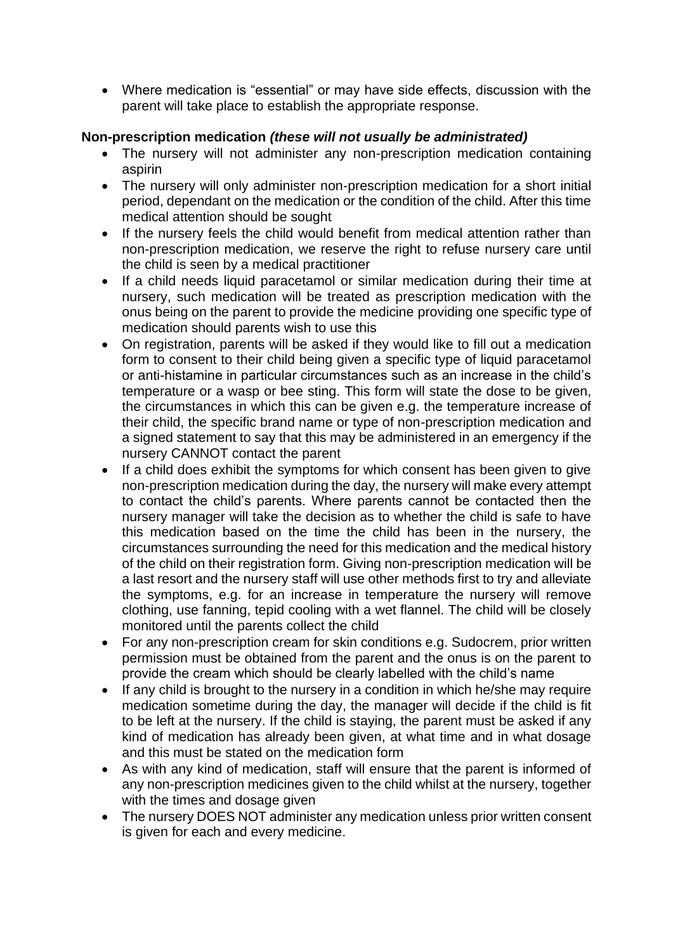• Where medication is "essential" or may have side effects, discussion with the parent will take place to establish the appropriate response.

## **Non-prescription medication** *(these will not usually be administrated)*

- The nursery will not administer any non-prescription medication containing aspirin
- The nursery will only administer non-prescription medication for a short initial period, dependant on the medication or the condition of the child. After this time medical attention should be sought
- If the nursery feels the child would benefit from medical attention rather than non-prescription medication, we reserve the right to refuse nursery care until the child is seen by a medical practitioner
- If a child needs liquid paracetamol or similar medication during their time at nursery, such medication will be treated as prescription medication with the onus being on the parent to provide the medicine providing one specific type of medication should parents wish to use this
- On registration, parents will be asked if they would like to fill out a medication form to consent to their child being given a specific type of liquid paracetamol or anti-histamine in particular circumstances such as an increase in the child's temperature or a wasp or bee sting. This form will state the dose to be given, the circumstances in which this can be given e.g. the temperature increase of their child, the specific brand name or type of non-prescription medication and a signed statement to say that this may be administered in an emergency if the nursery CANNOT contact the parent
- If a child does exhibit the symptoms for which consent has been given to give non-prescription medication during the day, the nursery will make every attempt to contact the child's parents. Where parents cannot be contacted then the nursery manager will take the decision as to whether the child is safe to have this medication based on the time the child has been in the nursery, the circumstances surrounding the need for this medication and the medical history of the child on their registration form. Giving non-prescription medication will be a last resort and the nursery staff will use other methods first to try and alleviate the symptoms, e.g. for an increase in temperature the nursery will remove clothing, use fanning, tepid cooling with a wet flannel. The child will be closely monitored until the parents collect the child
- For any non-prescription cream for skin conditions e.g. Sudocrem, prior written permission must be obtained from the parent and the onus is on the parent to provide the cream which should be clearly labelled with the child's name
- If any child is brought to the nursery in a condition in which he/she may require medication sometime during the day, the manager will decide if the child is fit to be left at the nursery. If the child is staying, the parent must be asked if any kind of medication has already been given, at what time and in what dosage and this must be stated on the medication form
- As with any kind of medication, staff will ensure that the parent is informed of any non-prescription medicines given to the child whilst at the nursery, together with the times and dosage given
- The nursery DOES NOT administer any medication unless prior written consent is given for each and every medicine.